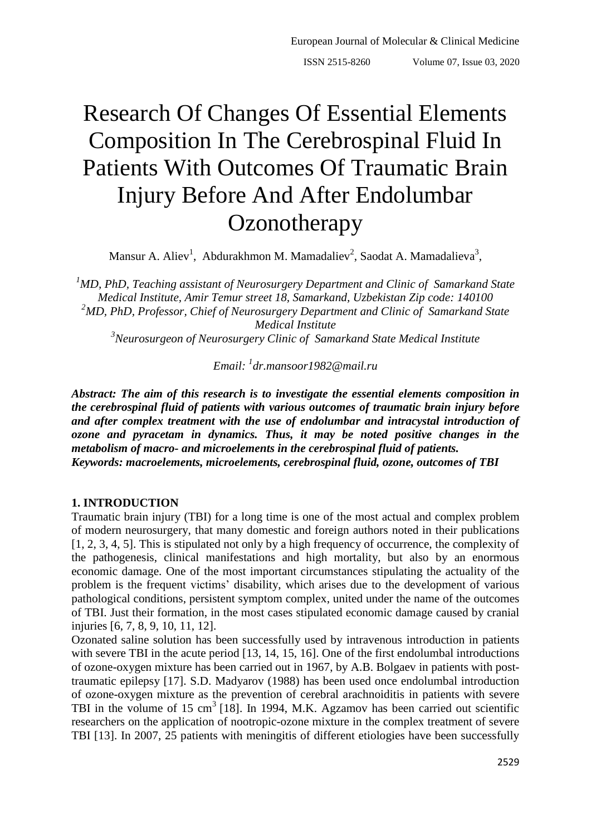# Research Of Changes Of Essential Elements Composition In The Cerebrospinal Fluid In Patients With Outcomes Of Traumatic Brain Injury Before And After Endolumbar **Ozonotherapy**

Mansur A. Aliev<sup>1</sup>, Abdurakhmon M. Mamadaliev<sup>2</sup>, Saodat A. Mamadalieva<sup>3</sup>,

*<sup>1</sup>MD, PhD, Teaching assistant of Neurosurgery Department and Clinic of Samarkand State Medical Institute, Amir Temur street 18, Samarkand, Uzbekistan Zip code: 140100 <sup>2</sup>MD, PhD, Professor, Chief of Neurosurgery Department and Clinic of Samarkand State Medical Institute*

*<sup>3</sup>Neurosurgeon of Neurosurgery Clinic of Samarkand State Medical Institute*

*Email: <sup>1</sup> [dr.mansoor1982@mail.ru](mailto:dr.mansoor1982@mail.ru)*

*Abstract: The aim of this research is to investigate the essential elements composition in the cerebrospinal fluid of patients with various outcomes of traumatic brain injury before and after complex treatment with the use of endolumbar and intracystal introduction of ozone and pyracetam in dynamics. Thus, it may be noted positive changes in the metabolism of macro- and microelements in the cerebrospinal fluid of patients. Keywords: macroelements, microelements, cerebrospinal fluid, ozone, outcomes of TBI* 

## **1. INTRODUCTION**

Traumatic brain injury (TBI) for a long time is one of the most actual and complex problem of modern neurosurgery, that many domestic and foreign authors noted in their publications [1, 2, 3, 4, 5]. This is stipulated not only by a high frequency of occurrence, the complexity of the pathogenesis, clinical manifestations and high mortality, but also by an enormous economic damage. One of the most important circumstances stipulating the actuality of the problem is the frequent victims' disability, which arises due to the development of various pathological conditions, persistent symptom complex, united under the name of the outcomes of TBI. Just their formation, in the most cases stipulated economic damage caused by cranial injuries [6, 7, 8, 9, 10, 11, 12].

Ozonated saline solution has been successfully used by intravenous introduction in patients with severe TBI in the acute period [13, 14, 15, 16]. One of the first endolumbal introductions of ozone-oxygen mixture has been carried out in 1967, by A.B. Bolgaev in patients with posttraumatic epilepsy [17]. S.D. Madyarov (1988) has been used once endolumbal introduction of ozone-oxygen mixture as the prevention of cerebral arachnoiditis in patients with severe TBI in the volume of 15 cm<sup>3</sup> [18]. In 1994, M.K. Agzamov has been carried out scientific researchers on the application of nootropic-ozone mixture in the complex treatment of severe TBI [13]. In 2007, 25 patients with meningitis of different etiologies have been successfully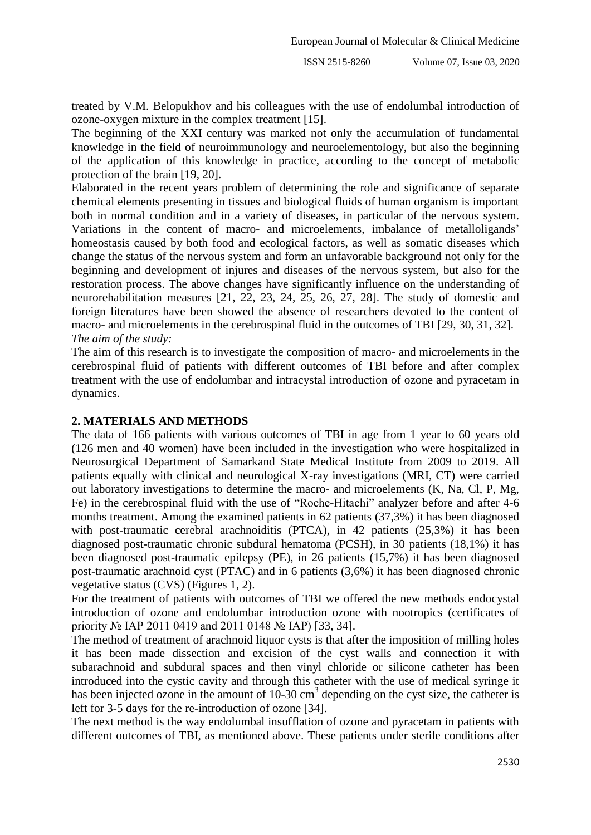treated by V.M. Belopukhov and his colleagues with the use of endolumbal introduction of ozone-oxygen mixture in the complex treatment [15].

The beginning of the XXI century was marked not only the accumulation of fundamental knowledge in the field of neuroimmunology and neuroelementology, but also the beginning of the application of this knowledge in practice, according to the concept of metabolic protection of the brain [19, 20].

Elaborated in the recent years problem of determining the role and significance of separate chemical elements presenting in tissues and biological fluids of human organism is important both in normal condition and in a variety of diseases, in particular of the nervous system. Variations in the content of macro- and microelements, imbalance of metalloligands' homeostasis caused by both food and ecological factors, as well as somatic diseases which change the status of the nervous system and form an unfavorable background not only for the beginning and development of injures and diseases of the nervous system, but also for the restoration process. The above changes have significantly influence on the understanding of neurorehabilitation measures [21, 22, 23, 24, 25, 26, 27, 28]. The study of domestic and foreign literatures have been showed the absence of researchers devoted to the content of macro- and microelements in the cerebrospinal fluid in the outcomes of TBI [29, 30, 31, 32]. *The aim of the study:* 

The aim of this research is to investigate the composition of macro- and microelements in the cerebrospinal fluid of patients with different outcomes of TBI before and after complex treatment with the use of endolumbar and intracystal introduction of ozone and pyracetam in dynamics.

# **2. MATERIALS AND METHODS**

The data of 166 patients with various outcomes of TBI in age from 1 year to 60 years old (126 men and 40 women) have been included in the investigation who were hospitalized in Neurosurgical Department of Samarkand State Medical Institute from 2009 to 2019. All patients equally with clinical and neurological X-ray investigations (MRI, CT) were carried out laboratory investigations to determine the macro- and microelements (K, Na, Cl, P, Mg, Fe) in the cerebrospinal fluid with the use of "Roche-Hitachi" analyzer before and after 4-6 months treatment. Among the examined patients in 62 patients (37,3%) it has been diagnosed with post-traumatic cerebral arachnoiditis (PTCA), in 42 patients (25,3%) it has been diagnosed post-traumatic chronic subdural hematoma (PCSH), in 30 patients (18,1%) it has been diagnosed post-traumatic epilepsy (PE), in 26 patients (15,7%) it has been diagnosed post-traumatic arachnoid cyst (PTAC) and in 6 patients (3,6%) it has been diagnosed chronic vegetative status (CVS) (Figures 1, 2).

For the treatment of patients with outcomes of TBI we offered the new methods endocystal introduction of ozone and endolumbar introduction ozone with nootropics (certificates of priority № IAP 2011 0419 and 2011 0148 № IAP) [33, 34].

The method of treatment of arachnoid liquor cysts is that after the imposition of milling holes it has been made dissection and excision of the cyst walls and connection it with subarachnoid and subdural spaces and then vinyl chloride or silicone catheter has been introduced into the cystic cavity and through this catheter with the use of medical syringe it has been injected ozone in the amount of  $10-30 \text{ cm}^3$  depending on the cyst size, the catheter is left for 3-5 days for the re-introduction of ozone [34].

The next method is the way endolumbal insufflation of ozone and pyracetam in patients with different outcomes of TBI, as mentioned above. These patients under sterile conditions after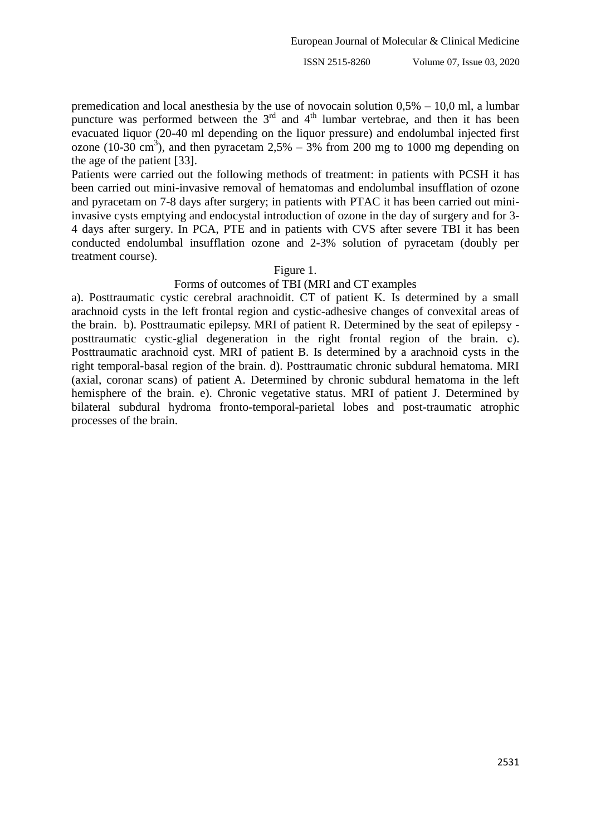premedication and local anesthesia by the use of novocain solution 0,5% – 10,0 ml, a lumbar puncture was performed between the  $3<sup>rd</sup>$  and  $4<sup>th</sup>$  lumbar vertebrae, and then it has been evacuated liquor (20-40 ml depending on the liquor pressure) and endolumbal injected first ozone (10-30 cm<sup>3</sup>), and then pyracetam 2,5% – 3% from 200 mg to 1000 mg depending on the age of the patient [33].

Patients were carried out the following methods of treatment: in patients with PCSH it has been carried out mini-invasive removal of hematomas and endolumbal insufflation of ozone and pyracetam on 7-8 days after surgery; in patients with PTAC it has been carried out miniinvasive cysts emptying and endocystal introduction of ozone in the day of surgery and for 3- 4 days after surgery. In PCA, PTE and in patients with CVS after severe TBI it has been conducted endolumbal insufflation ozone and 2-3% solution of pyracetam (doubly per treatment course).

#### Figure 1.

#### Forms of outcomes of TBI (MRI and CT examples

a). Posttraumatic cystic cerebral arachnoidit. CT of patient K. Is determined by a small arachnoid cysts in the left frontal region and cystic-adhesive changes of convexital areas of the brain. b). Posttraumatic epilepsy. MRI of patient R. Determined by the seat of epilepsy posttraumatic cystic-glial degeneration in the right frontal region of the brain. с). Posttraumatic arachnoid cyst. MRI of patient B. Is determined by a arachnoid cysts in the right temporal-basal region of the brain. d). Posttraumatic chronic subdural hematoma. MRI (axial, coronar scans) of patient A. Determined by chronic subdural hematoma in the left hemisphere of the brain. e). Chronic vegetative status. MRI of patient J. Determined by bilateral subdural hydroma fronto-temporal-parietal lobes and post-traumatic atrophic processes of the brain.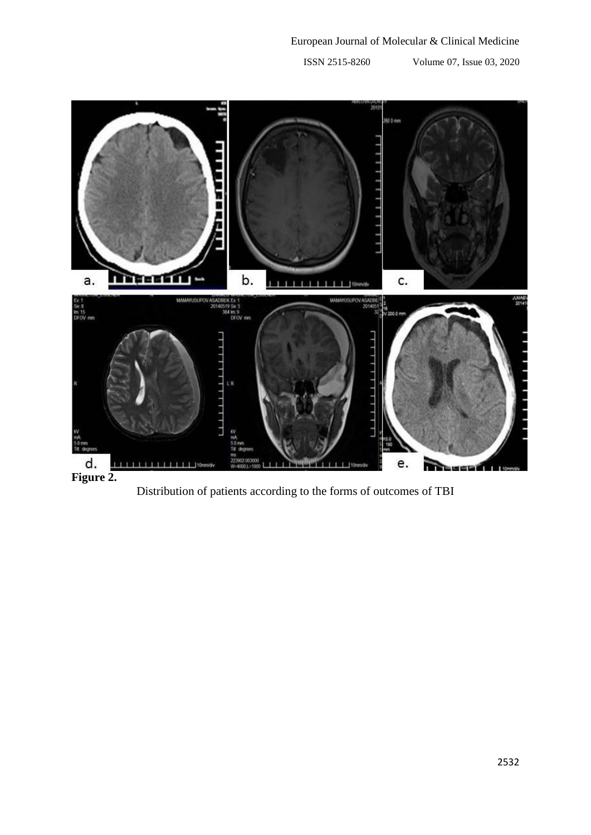

Distribution of patients according to the forms of outcomes of TBI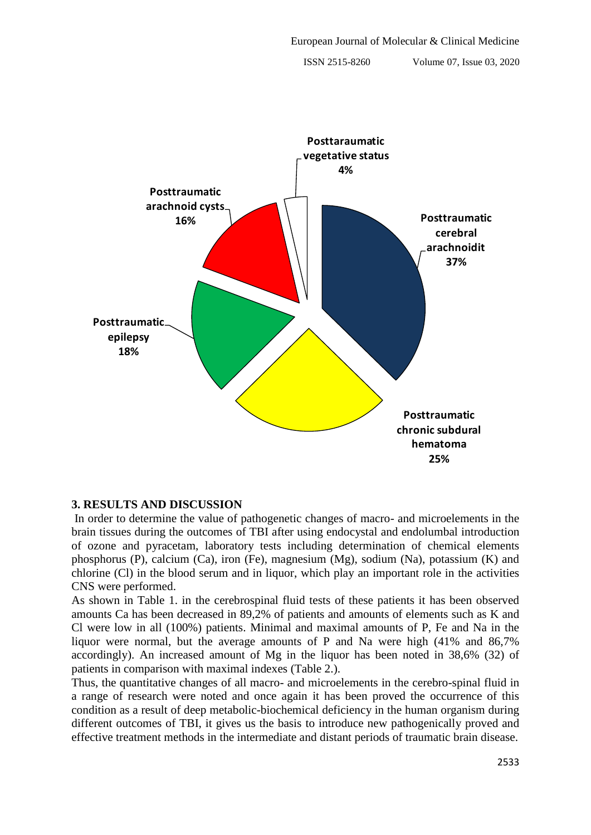

# **3. RESULTS AND DISCUSSION**

In order to determine the value of pathogenetic changes of macro- and microelements in the brain tissues during the outcomes of TBI after using endocystal and endolumbal introduction of ozone and pyracetam, laboratory tests including determination of chemical elements phosphorus (P), calcium (Ca), iron (Fe), magnesium (Mg), sodium (Na), potassium (K) and chlorine (Cl) in the blood serum and in liquor, which play an important role in the activities CNS were performed.

As shown in Table 1. in the cerebrospinal fluid tests of these patients it has been observed amounts Ca has been decreased in 89,2% of patients and amounts of elements such as K and Cl were low in all (100%) patients. Minimal and maximal amounts of P, Fe and Na in the liquor were normal, but the average amounts of P and Na were high  $(41\%$  and 86,7% accordingly). An increased amount of Mg in the liquor has been noted in 38,6% (32) of patients in comparison with maximal indexes (Table 2.).

Thus, the quantitative changes of all macro- and microelements in the cerebro-spinal fluid in a range of research were noted and once again it has been proved the occurrence of this condition as a result of deep metabolic-biochemical deficiency in the human organism during different outcomes of TBI, it gives us the basis to introduce new pathogenically proved and effective treatment methods in the intermediate and distant periods of traumatic brain disease.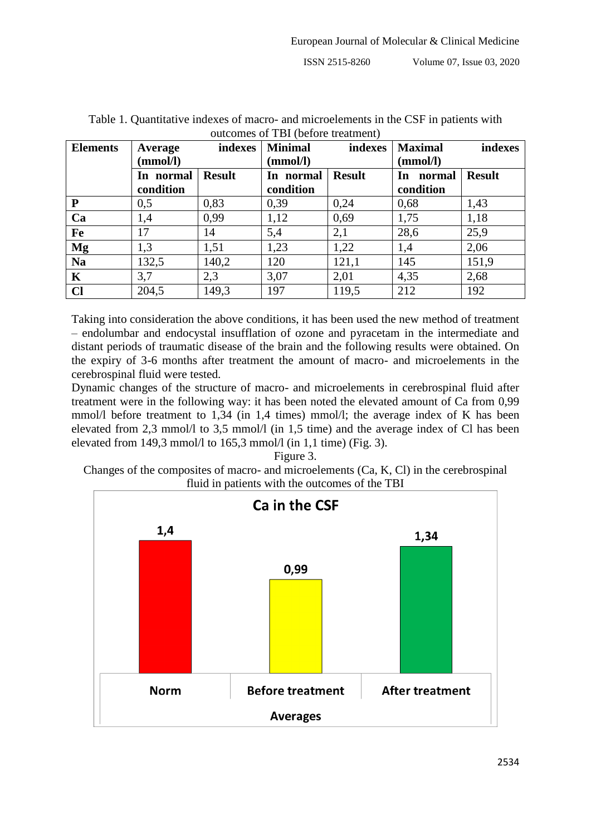| <b>Elements</b> | Average   | indexes       | buttonics of TDT (before treatment)<br><b>Minimal</b> | indexes       | <b>Maximal</b> | indexes       |
|-----------------|-----------|---------------|-------------------------------------------------------|---------------|----------------|---------------|
|                 | (mmol/l)  |               | (mmol/l)                                              |               | (mmol/l)       |               |
|                 | In normal | <b>Result</b> | In normal                                             | <b>Result</b> | normal<br>In   | <b>Result</b> |
|                 | condition |               | condition                                             |               | condition      |               |
| ${\bf P}$       | 0,5       | 0,83          | 0.39                                                  | 0,24          | 0,68           | 1,43          |
| Ca              | 1,4       | 0,99          | 1,12                                                  | 0,69          | 1,75           | 1,18          |
| Fe              | 17        | 14            | 5,4                                                   | 2,1           | 28,6           | 25,9          |
| Mg              | 1,3       | 1,51          | 1,23                                                  | 1,22          | 1,4            | 2,06          |
| <b>Na</b>       | 132,5     | 140,2         | 120                                                   | 121,1         | 145            | 151,9         |
| $\mathbf K$     | 3,7       | 2,3           | 3,07                                                  | 2,01          | 4,35           | 2,68          |
| $CI$            | 204,5     | 149,3         | 197                                                   | 119.5         | 212            | 192           |

Table 1. Quantitative indexes of macro- and microelements in the CSF in patients with outcomes of TBI (before treatment)

Taking into consideration the above conditions, it has been used the new method of treatment – endolumbar and endocystal insufflation of ozone and pyracetam in the intermediate and distant periods of traumatic disease of the brain and the following results were obtained. On the expiry of 3-6 months after treatment the amount of macro- and microelements in the cerebrospinal fluid were tested.

Dynamic changes of the structure of macro- and microelements in cerebrospinal fluid after treatment were in the following way: it has been noted the elevated amount of Ca from 0,99 mmol/l before treatment to 1,34 (in 1,4 times) mmol/l; the average index of K has been elevated from 2,3 mmol/l to 3,5 mmol/l (in 1,5 time) and the average index of Cl has been elevated from 149,3 mmol/l to  $165,3$  mmol/l (in 1,1 time) (Fig. 3).

Figure 3. Changes of the composites of macro- and microelements (Ca, K, Cl) in the cerebrospinal fluid in patients with the outcomes of the TBI

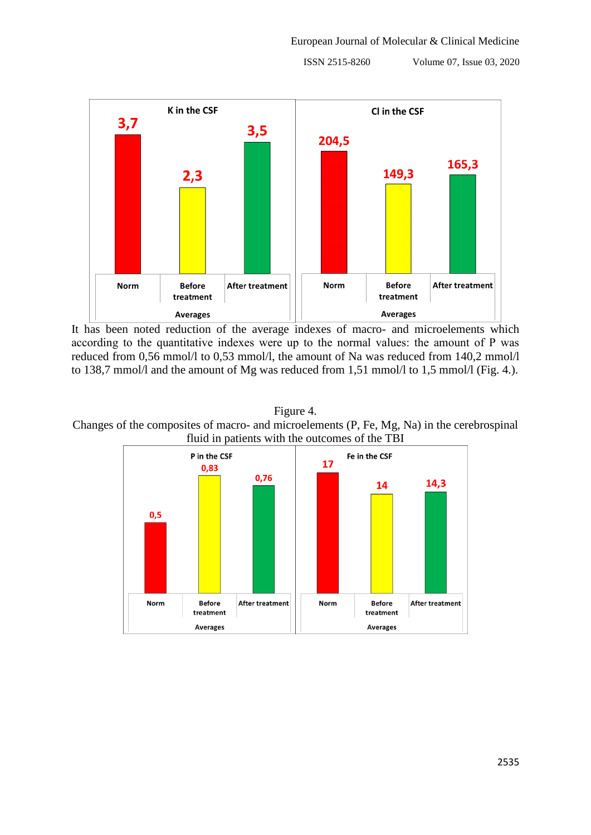

It has been noted reduction of the average indexes of macro- and microelements which according to the quantitative indexes were up to the normal values: the amount of Р was reduced from 0,56 mmol/l to 0,53 mmol/l, the amount of Na was reduced from 140,2 mmol/l to 138,7 mmol/l and the amount of Mg was reduced from 1,51 mmol/l to 1,5 mmol/l (Fig. 4.).



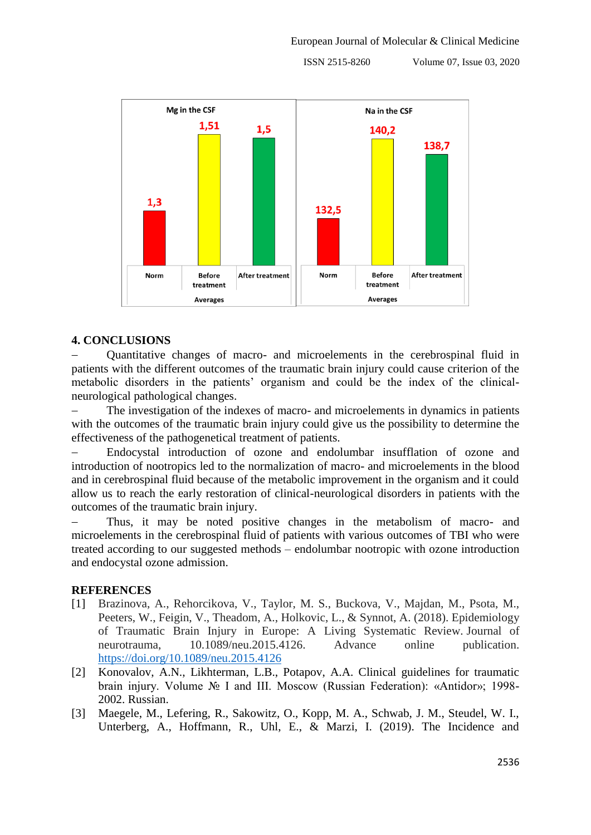

# **4. CONCLUSIONS**

 Quantitative changes of macro- and microelements in the cerebrospinal fluid in patients with the different outcomes of the traumatic brain injury could cause criterion of the metabolic disorders in the patients' organism and could be the index of the clinicalneurological pathological changes.

 The investigation of the indexes of macro- and microelements in dynamics in patients with the outcomes of the traumatic brain injury could give us the possibility to determine the effectiveness of the pathogenetical treatment of patients.

 Endocystal introduction of ozone and endolumbar insufflation of ozone and introduction of nootropics led to the normalization of macro- and microelements in the blood and in cerebrospinal fluid because of the metabolic improvement in the organism and it could allow us to reach the early restoration of clinical-neurological disorders in patients with the outcomes of the traumatic brain injury.

 Thus, it may be noted positive changes in the metabolism of macro- and microelements in the cerebrospinal fluid of patients with various outcomes of TBI who were treated according to our suggested methods – endolumbar nootropic with ozone introduction and endocystal ozone admission.

## **REFERENCES**

- [1] Brazinova, A., Rehorcikova, V., Taylor, M. S., Buckova, V., Majdan, M., Psota, M., Peeters, W., Feigin, V., Theadom, A., Holkovic, L., & Synnot, A. (2018). Epidemiology of Traumatic Brain Injury in Europe: A Living Systematic Review. Journal of neurotrauma, 10.1089/neu.2015.4126. Advance online publication. <https://doi.org/10.1089/neu.2015.4126>
- [2] Konovalov, A.N., Likhterman, L.B., Potapov, A.A. Clinical guidelines for traumatic brain injury. Volume № I and III. Moscow (Russian Federation): «Antidor»; 1998- 2002. Russian.
- [3] Maegele, M., Lefering, R., Sakowitz, O., Kopp, M. A., Schwab, J. M., Steudel, W. I., Unterberg, A., Hoffmann, R., Uhl, E., & Marzi, I. (2019). The Incidence and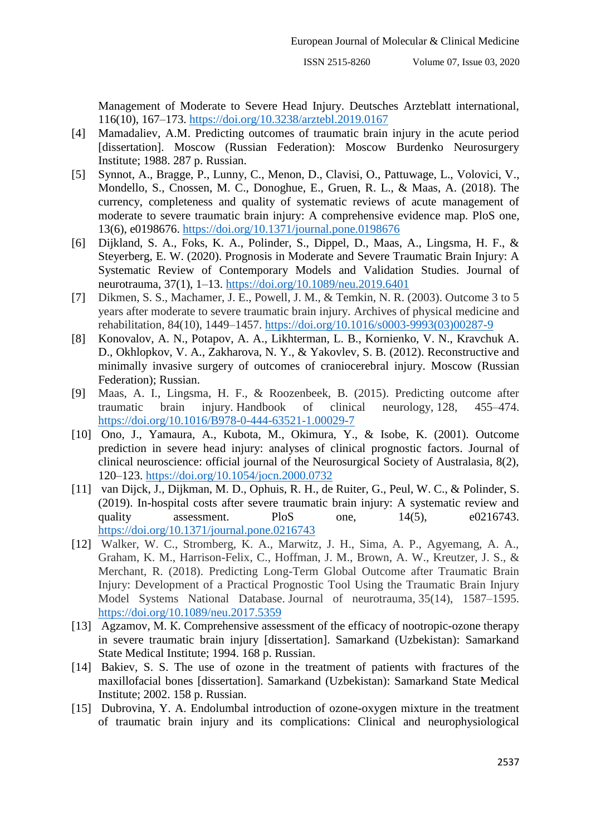Management of Moderate to Severe Head Injury. Deutsches Arzteblatt international, 116(10), 167–173.<https://doi.org/10.3238/arztebl.2019.0167>

- [4] Mamadaliev, A.M. Predicting outcomes of traumatic brain injury in the acute period [dissertation]. Moscow (Russian Federation): Moscow Burdenko Neurosurgery Institute; 1988. 287 p. Russian.
- [5] Synnot, A., Bragge, P., Lunny, C., Menon, D., Clavisi, O., Pattuwage, L., Volovici, V., Mondello, S., Cnossen, M. C., Donoghue, E., Gruen, R. L., & Maas, A. (2018). The currency, completeness and quality of systematic reviews of acute management of moderate to severe traumatic brain injury: A comprehensive evidence map. PloS one, 13(6), e0198676.<https://doi.org/10.1371/journal.pone.0198676>
- [6] Dijkland, S. A., Foks, K. A., Polinder, S., Dippel, D., Maas, A., Lingsma, H. F., & Steyerberg, E. W. (2020). Prognosis in Moderate and Severe Traumatic Brain Injury: A Systematic Review of Contemporary Models and Validation Studies. Journal of neurotrauma, 37(1), 1–13.<https://doi.org/10.1089/neu.2019.6401>
- [7] Dikmen, S. S., Machamer, J. E., Powell, J. M., & Temkin, N. R. (2003). Outcome 3 to 5 years after moderate to severe traumatic brain injury. Archives of physical medicine and rehabilitation, 84(10), 1449–1457. [https://doi.org/10.1016/s0003-9993\(03\)00287-9](https://doi.org/10.1016/s0003-9993(03)00287-9)
- [8] Konovalov, A. N., Potapov, A. A., Likhterman, L. B., Kornienko, V. N., Kravchuk A. D., Okhlopkov, V. A., Zakharova, N. Y., & Yakovlev, S. B. (2012). Reconstructive and minimally invasive surgery of outcomes of craniocerebral injury. Moscow (Russian Federation); Russian.
- [9] Maas, A. I., Lingsma, H. F., & Roozenbeek, B. (2015). Predicting outcome after traumatic brain injury. Handbook of clinical neurology, 128, 455–474. <https://doi.org/10.1016/B978-0-444-63521-1.00029-7>
- [10] Ono, J., Yamaura, A., Kubota, M., Okimura, Y., & Isobe, K. (2001). Outcome prediction in severe head injury: analyses of clinical prognostic factors. Journal of clinical neuroscience: official journal of the Neurosurgical Society of Australasia, 8(2), 120–123.<https://doi.org/10.1054/jocn.2000.0732>
- [11] van Dijck, J., Dijkman, M. D., Ophuis, R. H., de Ruiter, G., Peul, W. C., & Polinder, S. (2019). In-hospital costs after severe traumatic brain injury: A systematic review and quality assessment. PloS one,  $14(5)$ ,  $e^{0.216743}$ . <https://doi.org/10.1371/journal.pone.0216743>
- [12] Walker, W. C., Stromberg, K. A., Marwitz, J. H., Sima, A. P., Agyemang, A. A., Graham, K. M., Harrison-Felix, C., Hoffman, J. M., Brown, A. W., Kreutzer, J. S., & Merchant, R. (2018). Predicting Long-Term Global Outcome after Traumatic Brain Injury: Development of a Practical Prognostic Tool Using the Traumatic Brain Injury Model Systems National Database. Journal of neurotrauma, 35(14), 1587–1595. <https://doi.org/10.1089/neu.2017.5359>
- [13] Agzamov, M. K. Comprehensive assessment of the efficacy of nootropic-ozone therapy in severe traumatic brain injury [dissertation]. Samarkand (Uzbekistan): Samarkand State Medical Institute; 1994. 168 p. Russian.
- [14] Bakiev, S. S. The use of ozone in the treatment of patients with fractures of the maxillofacial bones [dissertation]. Samarkand (Uzbekistan): Samarkand State Medical Institute; 2002. 158 p. Russian.
- [15] Dubrovina, Y. A. Endolumbal introduction of ozone-oxygen mixture in the treatment of traumatic brain injury and its complications: Clinical and neurophysiological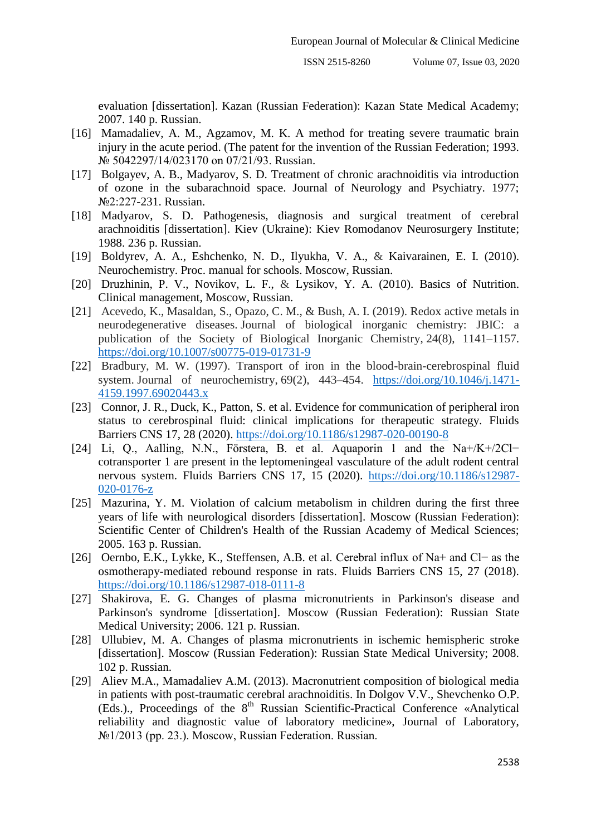evaluation [dissertation]. Kazan (Russian Federation): Kazan State Medical Academy; 2007. 140 p. Russian.

- [16] Mamadaliev, A. M., Agzamov, M. K. A method for treating severe traumatic brain injury in the acute period. (The patent for the invention of the Russian Federation; 1993. № 5042297/14/023170 on 07/21/93. Russian.
- [17] Bolgayev, A. B., Madyarov, S. D. Treatment of chronic arachnoiditis via introduction of ozone in the subarachnoid space. Journal of Neurology and Psychiatry. 1977; №2:227-231. Russian.
- [18] Madyarov, S. D. Pathogenesis, diagnosis and surgical treatment of cerebral arachnoiditis [dissertation]. Kiev (Ukraine): Kiev Romodanov Neurosurgery Institute; 1988. 236 p. Russian.
- [19] Boldyrev, A. A., Eshchenko, N. D., Ilyukha, V. A., & Kaivarainen, E. I. (2010). Neurochemistry. Proc. manual for schools. Moscow, Russian.
- [20] Druzhinin, P. V., Novikov, L. F., & Lysikov, Y. A. (2010). Basics of Nutrition. Clinical management, Moscow, Russian.
- [21] Acevedo, K., Masaldan, S., Opazo, C. M., & Bush, A. I. (2019). Redox active metals in neurodegenerative diseases. Journal of biological inorganic chemistry: JBIC: a publication of the Society of Biological Inorganic Chemistry, 24(8), 1141–1157. <https://doi.org/10.1007/s00775-019-01731-9>
- [22] Bradbury, M. W. (1997). Transport of iron in the blood-brain-cerebrospinal fluid system. Journal of neurochemistry, 69(2), 443–454. [https://doi.org/10.1046/j.1471-](https://doi.org/10.1046/j.1471-4159.1997.69020443.x) [4159.1997.69020443.x](https://doi.org/10.1046/j.1471-4159.1997.69020443.x)
- [23] Connor, J. R., Duck, K., Patton, S. et al. Evidence for communication of peripheral iron status to cerebrospinal fluid: clinical implications for therapeutic strategy. Fluids Barriers CNS 17, 28 (2020).<https://doi.org/10.1186/s12987-020-00190-8>
- [24] Li, Q., Aalling, N.N., Förstera, B. et al. Aquaporin 1 and the Na+/K+/2Cl− cotransporter 1 are present in the leptomeningeal vasculature of the adult rodent central nervous system. Fluids Barriers CNS 17, 15 (2020). [https://doi.org/10.1186/s12987-](https://doi.org/10.1186/s12987-020-0176-z) [020-0176-z](https://doi.org/10.1186/s12987-020-0176-z)
- [25] Mazurina, Y. M. Violation of calcium metabolism in children during the first three years of life with neurological disorders [dissertation]. Moscow (Russian Federation): Scientific Center of Children's Health of the Russian Academy of Medical Sciences; 2005. 163 p. Russian.
- [26] Oernbo, E.K., Lykke, K., Steffensen, A.B. et al. Cerebral influx of Na+ and Cl− as the osmotherapy-mediated rebound response in rats. Fluids Barriers CNS 15, 27 (2018). <https://doi.org/10.1186/s12987-018-0111-8>
- [27] Shakirova, E. G. Changes of plasma micronutrients in Parkinson's disease and Parkinson's syndrome [dissertation]. Moscow (Russian Federation): Russian State Medical University; 2006. 121 p. Russian.
- [28] Ullubiev, M. A. Changes of plasma micronutrients in ischemic hemispheric stroke [dissertation]. Moscow (Russian Federation): Russian State Medical University; 2008. 102 p. Russian.
- [29] Aliev M.A., Mamadaliev A.M. (2013). Macronutrient composition of biological media in patients with post-traumatic cerebral arachnoiditis. In Dolgov V.V., Shevchenko O.P. (Eds.)., Proceedings of the  $8<sup>th</sup>$  Russian Scientific-Practical Conference «Analytical reliability and diagnostic value of laboratory medicine», Journal of Laboratory, №1/2013 (pp. 23.). Moscow, Russian Federation. Russian.